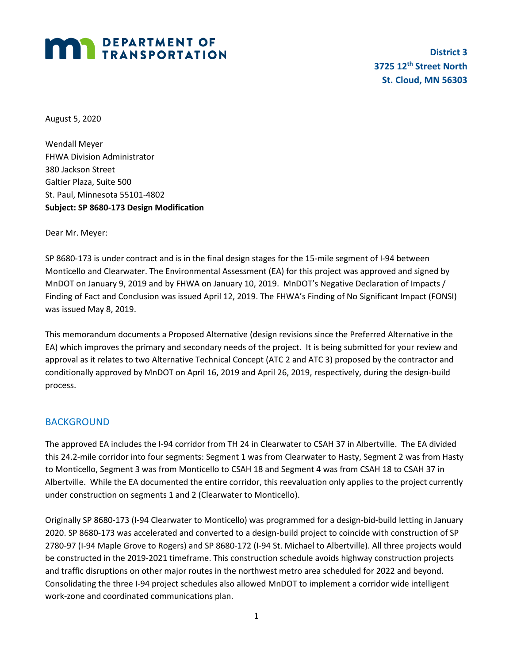# **MAN DEPARTMENT OF TRANSPORTATION**

**District 3 3725 12th Street North St. Cloud, MN 56303**

August 5, 2020

Wendall Meyer FHWA Division Administrator 380 Jackson Street Galtier Plaza, Suite 500 St. Paul, Minnesota 55101-4802 **Subject: SP 8680-173 Design Modification**

Dear Mr. Meyer:

SP 8680-173 is under contract and is in the final design stages for the 15-mile segment of I-94 between Monticello and Clearwater. The Environmental Assessment (EA) for this project was approved and signed by MnDOT on January 9, 2019 and by FHWA on January 10, 2019. MnDOT's Negative Declaration of Impacts / Finding of Fact and Conclusion was issued April 12, 2019. The FHWA's Finding of No Significant Impact (FONSI) was issued May 8, 2019.

This memorandum documents a Proposed Alternative (design revisions since the Preferred Alternative in the EA) which improves the primary and secondary needs of the project. It is being submitted for your review and approval as it relates to two Alternative Technical Concept (ATC 2 and ATC 3) proposed by the contractor and conditionally approved by MnDOT on April 16, 2019 and April 26, 2019, respectively, during the design-build process.

# BACKGROUND

The approved EA includes the I-94 corridor from TH 24 in Clearwater to CSAH 37 in Albertville. The EA divided this 24.2-mile corridor into four segments: Segment 1 was from Clearwater to Hasty, Segment 2 was from Hasty to Monticello, Segment 3 was from Monticello to CSAH 18 and Segment 4 was from CSAH 18 to CSAH 37 in Albertville. While the EA documented the entire corridor, this reevaluation only applies to the project currently under construction on segments 1 and 2 (Clearwater to Monticello).

Originally SP 8680-173 (I-94 Clearwater to Monticello) was programmed for a design-bid-build letting in January 2020. SP 8680-173 was accelerated and converted to a design-build project to coincide with construction of SP 2780-97 (I-94 Maple Grove to Rogers) and SP 8680-172 (I-94 St. Michael to Albertville). All three projects would be constructed in the 2019-2021 timeframe. This construction schedule avoids highway construction projects and traffic disruptions on other major routes in the northwest metro area scheduled for 2022 and beyond. Consolidating the three I-94 project schedules also allowed MnDOT to implement a corridor wide intelligent work-zone and coordinated communications plan.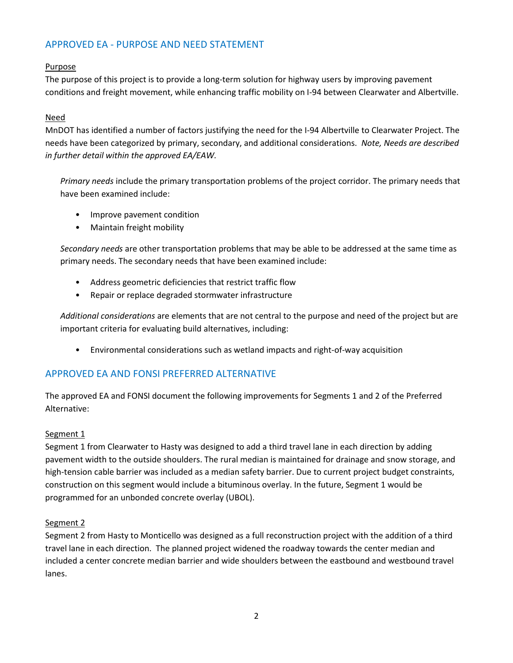# APPROVED EA - PURPOSE AND NEED STATEMENT

# Purpose

The purpose of this project is to provide a long-term solution for highway users by improving pavement conditions and freight movement, while enhancing traffic mobility on I-94 between Clearwater and Albertville.

# Need

MnDOT has identified a number of factors justifying the need for the I-94 Albertville to Clearwater Project. The needs have been categorized by primary, secondary, and additional considerations. *Note, Needs are described in further detail within the approved EA/EAW.*

*Primary needs* include the primary transportation problems of the project corridor. The primary needs that have been examined include:

- Improve pavement condition
- Maintain freight mobility

*Secondary needs* are other transportation problems that may be able to be addressed at the same time as primary needs. The secondary needs that have been examined include:

- Address geometric deficiencies that restrict traffic flow
- Repair or replace degraded stormwater infrastructure

*Additional considerations* are elements that are not central to the purpose and need of the project but are important criteria for evaluating build alternatives, including:

• Environmental considerations such as wetland impacts and right-of-way acquisition

# APPROVED EA AND FONSI PREFERRED ALTERNATIVE

The approved EA and FONSI document the following improvements for Segments 1 and 2 of the Preferred Alternative:

# Segment 1

Segment 1 from Clearwater to Hasty was designed to add a third travel lane in each direction by adding pavement width to the outside shoulders. The rural median is maintained for drainage and snow storage, and high-tension cable barrier was included as a median safety barrier. Due to current project budget constraints, construction on this segment would include a bituminous overlay. In the future, Segment 1 would be programmed for an unbonded concrete overlay (UBOL).

# Segment 2

Segment 2 from Hasty to Monticello was designed as a full reconstruction project with the addition of a third travel lane in each direction. The planned project widened the roadway towards the center median and included a center concrete median barrier and wide shoulders between the eastbound and westbound travel lanes.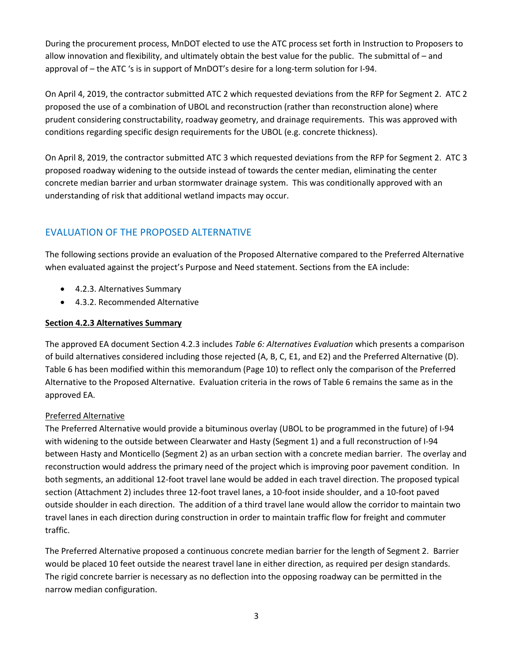During the procurement process, MnDOT elected to use the ATC process set forth in Instruction to Proposers to allow innovation and flexibility, and ultimately obtain the best value for the public. The submittal of – and approval of – the ATC 's is in support of MnDOT's desire for a long-term solution for I-94.

On April 4, 2019, the contractor submitted ATC 2 which requested deviations from the RFP for Segment 2. ATC 2 proposed the use of a combination of UBOL and reconstruction (rather than reconstruction alone) where prudent considering constructability, roadway geometry, and drainage requirements. This was approved with conditions regarding specific design requirements for the UBOL (e.g. concrete thickness).

On April 8, 2019, the contractor submitted ATC 3 which requested deviations from the RFP for Segment 2. ATC 3 proposed roadway widening to the outside instead of towards the center median, eliminating the center concrete median barrier and urban stormwater drainage system. This was conditionally approved with an understanding of risk that additional wetland impacts may occur.

# EVALUATION OF THE PROPOSED ALTERNATIVE

The following sections provide an evaluation of the Proposed Alternative compared to the Preferred Alternative when evaluated against the project's Purpose and Need statement. Sections from the EA include:

- 4.2.3. Alternatives Summary
- 4.3.2. Recommended Alternative

# **Section 4.2.3 Alternatives Summary**

The approved EA document Section 4.2.3 includes *Table 6: Alternatives Evaluation* which presents a comparison of build alternatives considered including those rejected (A, B, C, E1, and E2) and the Preferred Alternative (D). Table 6 has been modified within this memorandum (Page 10) to reflect only the comparison of the Preferred Alternative to the Proposed Alternative. Evaluation criteria in the rows of Table 6 remains the same as in the approved EA.

# Preferred Alternative

The Preferred Alternative would provide a bituminous overlay (UBOL to be programmed in the future) of I-94 with widening to the outside between Clearwater and Hasty (Segment 1) and a full reconstruction of I-94 between Hasty and Monticello (Segment 2) as an urban section with a concrete median barrier. The overlay and reconstruction would address the primary need of the project which is improving poor pavement condition. In both segments, an additional 12-foot travel lane would be added in each travel direction. The proposed typical section (Attachment 2) includes three 12-foot travel lanes, a 10-foot inside shoulder, and a 10-foot paved outside shoulder in each direction. The addition of a third travel lane would allow the corridor to maintain two travel lanes in each direction during construction in order to maintain traffic flow for freight and commuter traffic.

The Preferred Alternative proposed a continuous concrete median barrier for the length of Segment 2. Barrier would be placed 10 feet outside the nearest travel lane in either direction, as required per design standards. The rigid concrete barrier is necessary as no deflection into the opposing roadway can be permitted in the narrow median configuration.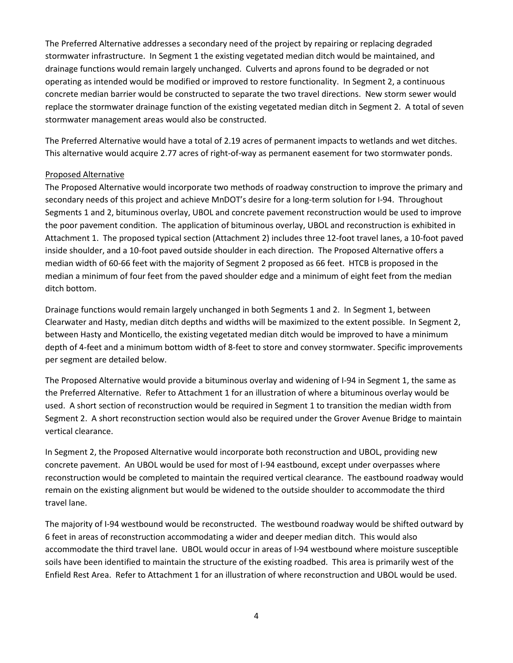The Preferred Alternative addresses a secondary need of the project by repairing or replacing degraded stormwater infrastructure. In Segment 1 the existing vegetated median ditch would be maintained, and drainage functions would remain largely unchanged. Culverts and aprons found to be degraded or not operating as intended would be modified or improved to restore functionality. In Segment 2, a continuous concrete median barrier would be constructed to separate the two travel directions. New storm sewer would replace the stormwater drainage function of the existing vegetated median ditch in Segment 2. A total of seven stormwater management areas would also be constructed.

The Preferred Alternative would have a total of 2.19 acres of permanent impacts to wetlands and wet ditches. This alternative would acquire 2.77 acres of right-of-way as permanent easement for two stormwater ponds.

#### Proposed Alternative

The Proposed Alternative would incorporate two methods of roadway construction to improve the primary and secondary needs of this project and achieve MnDOT's desire for a long-term solution for I-94. Throughout Segments 1 and 2, bituminous overlay, UBOL and concrete pavement reconstruction would be used to improve the poor pavement condition. The application of bituminous overlay, UBOL and reconstruction is exhibited in Attachment 1. The proposed typical section (Attachment 2) includes three 12-foot travel lanes, a 10-foot paved inside shoulder, and a 10-foot paved outside shoulder in each direction. The Proposed Alternative offers a median width of 60-66 feet with the majority of Segment 2 proposed as 66 feet. HTCB is proposed in the median a minimum of four feet from the paved shoulder edge and a minimum of eight feet from the median ditch bottom.

Drainage functions would remain largely unchanged in both Segments 1 and 2. In Segment 1, between Clearwater and Hasty, median ditch depths and widths will be maximized to the extent possible. In Segment 2, between Hasty and Monticello, the existing vegetated median ditch would be improved to have a minimum depth of 4-feet and a minimum bottom width of 8-feet to store and convey stormwater. Specific improvements per segment are detailed below.

The Proposed Alternative would provide a bituminous overlay and widening of I-94 in Segment 1, the same as the Preferred Alternative. Refer to Attachment 1 for an illustration of where a bituminous overlay would be used. A short section of reconstruction would be required in Segment 1 to transition the median width from Segment 2. A short reconstruction section would also be required under the Grover Avenue Bridge to maintain vertical clearance.

In Segment 2, the Proposed Alternative would incorporate both reconstruction and UBOL, providing new concrete pavement. An UBOL would be used for most of I-94 eastbound, except under overpasses where reconstruction would be completed to maintain the required vertical clearance. The eastbound roadway would remain on the existing alignment but would be widened to the outside shoulder to accommodate the third travel lane.

The majority of I-94 westbound would be reconstructed. The westbound roadway would be shifted outward by 6 feet in areas of reconstruction accommodating a wider and deeper median ditch. This would also accommodate the third travel lane. UBOL would occur in areas of I-94 westbound where moisture susceptible soils have been identified to maintain the structure of the existing roadbed. This area is primarily west of the Enfield Rest Area. Refer to Attachment 1 for an illustration of where reconstruction and UBOL would be used.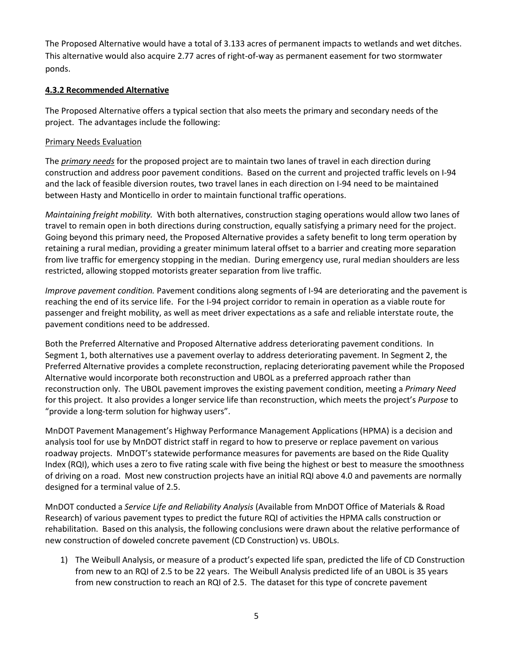The Proposed Alternative would have a total of 3.133 acres of permanent impacts to wetlands and wet ditches. This alternative would also acquire 2.77 acres of right-of-way as permanent easement for two stormwater ponds.

# **4.3.2 Recommended Alternative**

The Proposed Alternative offers a typical section that also meets the primary and secondary needs of the project. The advantages include the following:

#### Primary Needs Evaluation

The *primary needs* for the proposed project are to maintain two lanes of travel in each direction during construction and address poor pavement conditions. Based on the current and projected traffic levels on I-94 and the lack of feasible diversion routes, two travel lanes in each direction on I-94 need to be maintained between Hasty and Monticello in order to maintain functional traffic operations.

*Maintaining freight mobility.* With both alternatives, construction staging operations would allow two lanes of travel to remain open in both directions during construction, equally satisfying a primary need for the project. Going beyond this primary need, the Proposed Alternative provides a safety benefit to long term operation by retaining a rural median, providing a greater minimum lateral offset to a barrier and creating more separation from live traffic for emergency stopping in the median. During emergency use, rural median shoulders are less restricted, allowing stopped motorists greater separation from live traffic.

*Improve pavement condition.* Pavement conditions along segments of I-94 are deteriorating and the pavement is reaching the end of its service life. For the I-94 project corridor to remain in operation as a viable route for passenger and freight mobility, as well as meet driver expectations as a safe and reliable interstate route, the pavement conditions need to be addressed.

Both the Preferred Alternative and Proposed Alternative address deteriorating pavement conditions. In Segment 1, both alternatives use a pavement overlay to address deteriorating pavement. In Segment 2, the Preferred Alternative provides a complete reconstruction, replacing deteriorating pavement while the Proposed Alternative would incorporate both reconstruction and UBOL as a preferred approach rather than reconstruction only. The UBOL pavement improves the existing pavement condition, meeting a *Primary Need* for this project. It also provides a longer service life than reconstruction, which meets the project's *Purpose* to "provide a long-term solution for highway users".

MnDOT Pavement Management's Highway Performance Management Applications (HPMA) is a decision and analysis tool for use by MnDOT district staff in regard to how to preserve or replace pavement on various roadway projects. MnDOT's statewide performance measures for pavements are based on the Ride Quality Index (RQI), which uses a zero to five rating scale with five being the highest or best to measure the smoothness of driving on a road. Most new construction projects have an initial RQI above 4.0 and pavements are normally designed for a terminal value of 2.5.

MnDOT conducted a *Service Life and Reliability Analysis* (Available from MnDOT Office of Materials & Road Research) of various pavement types to predict the future RQI of activities the HPMA calls construction or rehabilitation. Based on this analysis, the following conclusions were drawn about the relative performance of new construction of doweled concrete pavement (CD Construction) vs. UBOLs.

1) The Weibull Analysis, or measure of a product's expected life span, predicted the life of CD Construction from new to an RQI of 2.5 to be 22 years. The Weibull Analysis predicted life of an UBOL is 35 years from new construction to reach an RQI of 2.5. The dataset for this type of concrete pavement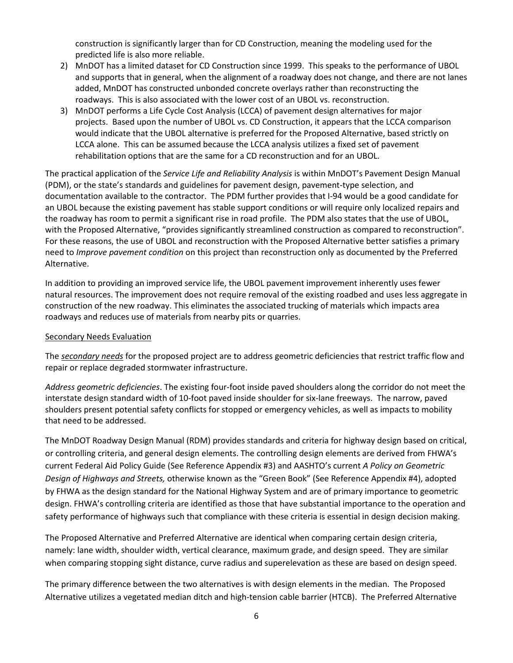construction is significantly larger than for CD Construction, meaning the modeling used for the predicted life is also more reliable.

- 2) MnDOT has a limited dataset for CD Construction since 1999. This speaks to the performance of UBOL and supports that in general, when the alignment of a roadway does not change, and there are not lanes added, MnDOT has constructed unbonded concrete overlays rather than reconstructing the roadways. This is also associated with the lower cost of an UBOL vs. reconstruction.
- 3) MnDOT performs a Life Cycle Cost Analysis (LCCA) of pavement design alternatives for major projects. Based upon the number of UBOL vs. CD Construction, it appears that the LCCA comparison would indicate that the UBOL alternative is preferred for the Proposed Alternative, based strictly on LCCA alone. This can be assumed because the LCCA analysis utilizes a fixed set of pavement rehabilitation options that are the same for a CD reconstruction and for an UBOL.

The practical application of the *Service Life and Reliability Analysis* is within MnDOT's Pavement Design Manual (PDM), or the state's standards and guidelines for pavement design, pavement-type selection, and documentation available to the contractor. The PDM further provides that I-94 would be a good candidate for an UBOL because the existing pavement has stable support conditions or will require only localized repairs and the roadway has room to permit a significant rise in road profile. The PDM also states that the use of UBOL, with the Proposed Alternative, "provides significantly streamlined construction as compared to reconstruction". For these reasons, the use of UBOL and reconstruction with the Proposed Alternative better satisfies a primary need to *Improve pavement condition* on this project than reconstruction only as documented by the Preferred Alternative.

In addition to providing an improved service life, the UBOL pavement improvement inherently uses fewer natural resources. The improvement does not require removal of the existing roadbed and uses less aggregate in construction of the new roadway. This eliminates the associated trucking of materials which impacts area roadways and reduces use of materials from nearby pits or quarries.

#### Secondary Needs Evaluation

The *secondary needs* for the proposed project are to address geometric deficiencies that restrict traffic flow and repair or replace degraded stormwater infrastructure.

*Address geometric deficiencies*. The existing four-foot inside paved shoulders along the corridor do not meet the interstate design standard width of 10-foot paved inside shoulder for six-lane freeways. The narrow, paved shoulders present potential safety conflicts for stopped or emergency vehicles, as well as impacts to mobility that need to be addressed.

The MnDOT Roadway Design Manual (RDM) provides standards and criteria for highway design based on critical, or controlling criteria, and general design elements. The controlling design elements are derived from FHWA's current Federal Aid Policy Guide (See Reference Appendix #3) and AASHTO's current *A Policy on Geometric Design of Highways and Streets,* otherwise known as the "Green Book" (See Reference Appendix #4), adopted by FHWA as the design standard for the National Highway System and are of primary importance to geometric design. FHWA's controlling criteria are identified as those that have substantial importance to the operation and safety performance of highways such that compliance with these criteria is essential in design decision making.

The Proposed Alternative and Preferred Alternative are identical when comparing certain design criteria, namely: lane width, shoulder width, vertical clearance, maximum grade, and design speed. They are similar when comparing stopping sight distance, curve radius and superelevation as these are based on design speed.

The primary difference between the two alternatives is with design elements in the median. The Proposed Alternative utilizes a vegetated median ditch and high-tension cable barrier (HTCB). The Preferred Alternative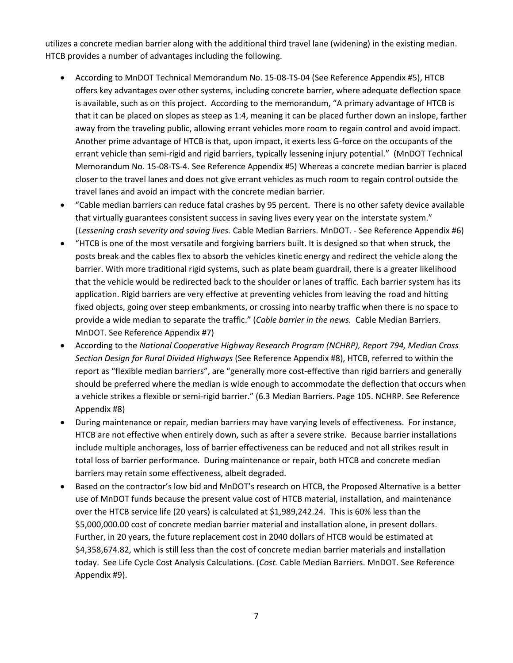utilizes a concrete median barrier along with the additional third travel lane (widening) in the existing median. HTCB provides a number of advantages including the following.

- According to MnDOT Technical Memorandum No. 15-08-TS-04 (See Reference Appendix #5), HTCB offers key advantages over other systems, including concrete barrier, where adequate deflection space is available, such as on this project. According to the memorandum, "A primary advantage of HTCB is that it can be placed on slopes as steep as 1:4, meaning it can be placed further down an inslope, farther away from the traveling public, allowing errant vehicles more room to regain control and avoid impact. Another prime advantage of HTCB is that, upon impact, it exerts less G-force on the occupants of the errant vehicle than semi-rigid and rigid barriers, typically lessening injury potential." (MnDOT Technical Memorandum No. 15-08-TS-4. See Reference Appendix #5) Whereas a concrete median barrier is placed closer to the travel lanes and does not give errant vehicles as much room to regain control outside the travel lanes and avoid an impact with the concrete median barrier.
- "Cable median barriers can reduce fatal crashes by 95 percent. There is no other safety device available that virtually guarantees consistent success in saving lives every year on the interstate system." (*Lessening crash severity and saving lives.* Cable Median Barriers. MnDOT. - See Reference Appendix #6)
- "HTCB is one of the most versatile and forgiving barriers built. It is designed so that when struck, the posts break and the cables flex to absorb the vehicles kinetic energy and redirect the vehicle along the barrier. With more traditional rigid systems, such as plate beam guardrail, there is a greater likelihood that the vehicle would be redirected back to the shoulder or lanes of traffic. Each barrier system has its application. Rigid barriers are very effective at preventing vehicles from leaving the road and hitting fixed objects, going over steep embankments, or crossing into nearby traffic when there is no space to provide a wide median to separate the traffic." (*Cable barrier in the news.* Cable Median Barriers. MnDOT. See Reference Appendix #7)
- According to the *National Cooperative Highway Research Program (NCHRP), Report 794, Median Cross Section Design for Rural Divided Highways* (See Reference Appendix #8), HTCB, referred to within the report as "flexible median barriers", are "generally more cost-effective than rigid barriers and generally should be preferred where the median is wide enough to accommodate the deflection that occurs when a vehicle strikes a flexible or semi-rigid barrier." (6.3 Median Barriers. Page 105. NCHRP. See Reference Appendix #8)
- During maintenance or repair, median barriers may have varying levels of effectiveness. For instance, HTCB are not effective when entirely down, such as after a severe strike. Because barrier installations include multiple anchorages, loss of barrier effectiveness can be reduced and not all strikes result in total loss of barrier performance. During maintenance or repair, both HTCB and concrete median barriers may retain some effectiveness, albeit degraded.
- Based on the contractor's low bid and MnDOT's research on HTCB, the Proposed Alternative is a better use of MnDOT funds because the present value cost of HTCB material, installation, and maintenance over the HTCB service life (20 years) is calculated at \$1,989,242.24. This is 60% less than the \$5,000,000.00 cost of concrete median barrier material and installation alone, in present dollars. Further, in 20 years, the future replacement cost in 2040 dollars of HTCB would be estimated at \$4,358,674.82, which is still less than the cost of concrete median barrier materials and installation today. See Life Cycle Cost Analysis Calculations. (*Cost.* Cable Median Barriers. MnDOT. See Reference Appendix #9).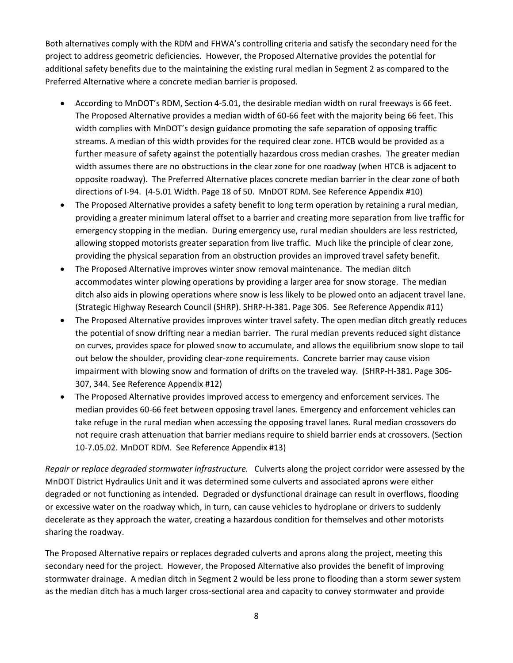Both alternatives comply with the RDM and FHWA's controlling criteria and satisfy the secondary need for the project to address geometric deficiencies. However, the Proposed Alternative provides the potential for additional safety benefits due to the maintaining the existing rural median in Segment 2 as compared to the Preferred Alternative where a concrete median barrier is proposed.

- According to MnDOT's RDM, Section 4-5.01, the desirable median width on rural freeways is 66 feet. The Proposed Alternative provides a median width of 60-66 feet with the majority being 66 feet. This width complies with MnDOT's design guidance promoting the safe separation of opposing traffic streams. A median of this width provides for the required clear zone. HTCB would be provided as a further measure of safety against the potentially hazardous cross median crashes. The greater median width assumes there are no obstructions in the clear zone for one roadway (when HTCB is adjacent to opposite roadway). The Preferred Alternative places concrete median barrier in the clear zone of both directions of I-94. (4-5.01 Width. Page 18 of 50. MnDOT RDM. See Reference Appendix #10)
- The Proposed Alternative provides a safety benefit to long term operation by retaining a rural median, providing a greater minimum lateral offset to a barrier and creating more separation from live traffic for emergency stopping in the median. During emergency use, rural median shoulders are less restricted, allowing stopped motorists greater separation from live traffic. Much like the principle of clear zone, providing the physical separation from an obstruction provides an improved travel safety benefit.
- The Proposed Alternative improves winter snow removal maintenance. The median ditch accommodates winter plowing operations by providing a larger area for snow storage. The median ditch also aids in plowing operations where snow is less likely to be plowed onto an adjacent travel lane. (Strategic Highway Research Council (SHRP). SHRP-H-381. Page 306. See Reference Appendix #11)
- The Proposed Alternative provides improves winter travel safety. The open median ditch greatly reduces the potential of snow drifting near a median barrier. The rural median prevents reduced sight distance on curves, provides space for plowed snow to accumulate, and allows the equilibrium snow slope to tail out below the shoulder, providing clear-zone requirements. Concrete barrier may cause vision impairment with blowing snow and formation of drifts on the traveled way. (SHRP-H-381. Page 306- 307, 344. See Reference Appendix #12)
- The Proposed Alternative provides improved access to emergency and enforcement services. The median provides 60-66 feet between opposing travel lanes. Emergency and enforcement vehicles can take refuge in the rural median when accessing the opposing travel lanes. Rural median crossovers do not require crash attenuation that barrier medians require to shield barrier ends at crossovers. (Section 10-7.05.02. MnDOT RDM. See Reference Appendix #13)

*Repair or replace degraded stormwater infrastructure.* Culverts along the project corridor were assessed by the MnDOT District Hydraulics Unit and it was determined some culverts and associated aprons were either degraded or not functioning as intended. Degraded or dysfunctional drainage can result in overflows, flooding or excessive water on the roadway which, in turn, can cause vehicles to hydroplane or drivers to suddenly decelerate as they approach the water, creating a hazardous condition for themselves and other motorists sharing the roadway.

The Proposed Alternative repairs or replaces degraded culverts and aprons along the project, meeting this secondary need for the project. However, the Proposed Alternative also provides the benefit of improving stormwater drainage. A median ditch in Segment 2 would be less prone to flooding than a storm sewer system as the median ditch has a much larger cross-sectional area and capacity to convey stormwater and provide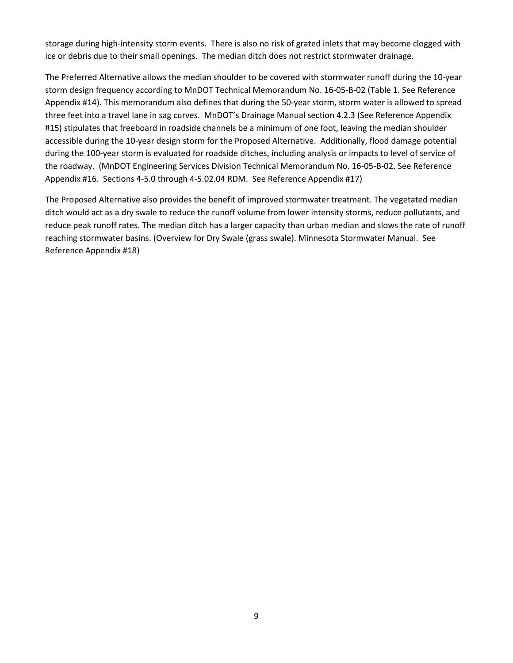storage during high-intensity storm events. There is also no risk of grated inlets that may become clogged with ice or debris due to their small openings. The median ditch does not restrict stormwater drainage.

The Preferred Alternative allows the median shoulder to be covered with stormwater runoff during the 10-year storm design frequency according to MnDOT Technical Memorandum No. 16-05-B-02 (Table 1. See Reference Appendix #14). This memorandum also defines that during the 50-year storm, storm water is allowed to spread three feet into a travel lane in sag curves. MnDOT's Drainage Manual section 4.2.3 (See Reference Appendix #15) stipulates that freeboard in roadside channels be a minimum of one foot, leaving the median shoulder accessible during the 10-year design storm for the Proposed Alternative. Additionally, flood damage potential during the 100-year storm is evaluated for roadside ditches, including analysis or impacts to level of service of the roadway. (MnDOT Engineering Services Division Technical Memorandum No. 16-05-B-02. See Reference Appendix #16. Sections 4-5.0 through 4-5.02.04 RDM. See Reference Appendix #17)

The Proposed Alternative also provides the benefit of improved stormwater treatment. The vegetated median ditch would act as a dry swale to reduce the runoff volume from lower intensity storms, reduce pollutants, and reduce peak runoff rates. The median ditch has a larger capacity than urban median and slows the rate of runoff reaching stormwater basins. (Overview for Dry Swale (grass swale). Minnesota Stormwater Manual. See Reference Appendix #18)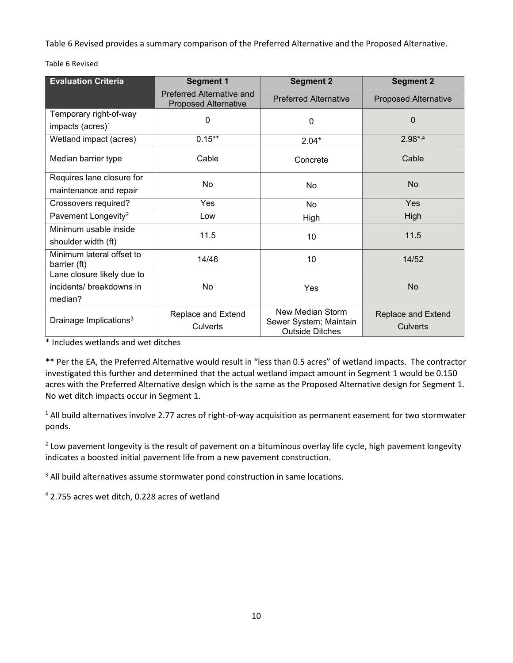Table 6 Revised provides a summary comparison of the Preferred Alternative and the Proposed Alternative.

| <b>Evaluation Criteria</b>                             | <b>Segment 1</b>                                         | <b>Segment 2</b>                                                     | <b>Segment 2</b>                      |
|--------------------------------------------------------|----------------------------------------------------------|----------------------------------------------------------------------|---------------------------------------|
|                                                        | Preferred Alternative and<br><b>Proposed Alternative</b> | <b>Preferred Alternative</b>                                         | <b>Proposed Alternative</b>           |
| Temporary right-of-way<br>impacts (acres) <sup>1</sup> | 0                                                        | $\mathbf 0$                                                          | $\mathbf{0}$                          |
| Wetland impact (acres)                                 | $0.15***$                                                | $2.04*$                                                              | $2.98^{*,4}$                          |
| Median barrier type                                    | Cable                                                    | Concrete                                                             | Cable                                 |
| Requires lane closure for<br>maintenance and repair    | No                                                       | No                                                                   | N <sub>o</sub>                        |
| Crossovers required?                                   | <b>Yes</b>                                               | <b>No</b>                                                            | Yes                                   |
| Pavement Longevity <sup>2</sup>                        | Low                                                      | High                                                                 | High                                  |
| Minimum usable inside<br>shoulder width (ft)           | 11.5                                                     | 10                                                                   | 11.5                                  |
| Minimum lateral offset to<br>barrier (ft)              | 14/46                                                    | 10                                                                   | 14/52                                 |
| Lane closure likely due to                             |                                                          |                                                                      |                                       |
| incidents/ breakdowns in                               | No                                                       | Yes                                                                  | No                                    |
| median?                                                |                                                          |                                                                      |                                       |
| Drainage Implications <sup>3</sup>                     | Replace and Extend<br>Culverts                           | New Median Storm<br>Sewer System; Maintain<br><b>Outside Ditches</b> | <b>Replace and Extend</b><br>Culverts |

Table 6 Revised

\* Includes wetlands and wet ditches

\*\* Per the EA, the Preferred Alternative would result in "less than 0.5 acres" of wetland impacts. The contractor investigated this further and determined that the actual wetland impact amount in Segment 1 would be 0.150 acres with the Preferred Alternative design which is the same as the Proposed Alternative design for Segment 1. No wet ditch impacts occur in Segment 1.

<sup>1</sup> All build alternatives involve 2.77 acres of right-of-way acquisition as permanent easement for two stormwater ponds.

<sup>2</sup> Low pavement longevity is the result of pavement on a bituminous overlay life cycle, high pavement longevity indicates a boosted initial pavement life from a new pavement construction.

<sup>3</sup> All build alternatives assume stormwater pond construction in same locations.

<sup>4</sup> 2.755 acres wet ditch, 0.228 acres of wetland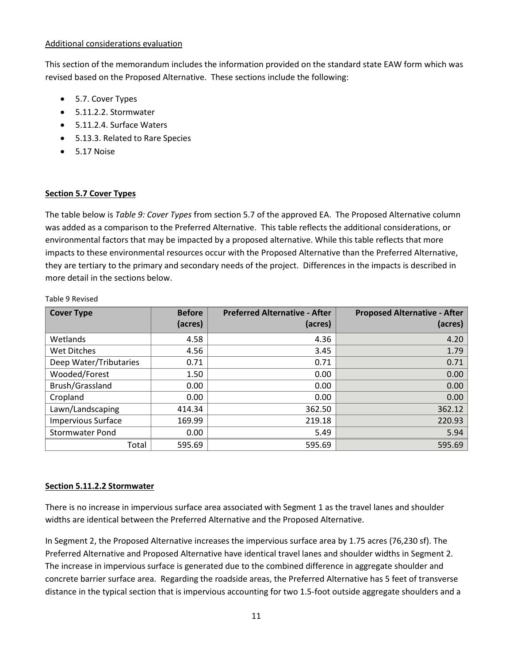#### Additional considerations evaluation

This section of the memorandum includes the information provided on the standard state EAW form which was revised based on the Proposed Alternative. These sections include the following:

- 5.7. Cover Types
- 5.11.2.2. Stormwater
- 5.11.2.4. Surface Waters
- 5.13.3. Related to Rare Species
- 5.17 Noise

#### **Section 5.7 Cover Types**

The table below is *Table 9: Cover Types* from section 5.7 of the approved EA. The Proposed Alternative column was added as a comparison to the Preferred Alternative. This table reflects the additional considerations, or environmental factors that may be impacted by a proposed alternative. While this table reflects that more impacts to these environmental resources occur with the Proposed Alternative than the Preferred Alternative, they are tertiary to the primary and secondary needs of the project. Differences in the impacts is described in more detail in the sections below.

| <b>Cover Type</b>         | <b>Before</b> | <b>Preferred Alternative - After</b> | <b>Proposed Alternative - After</b> |
|---------------------------|---------------|--------------------------------------|-------------------------------------|
|                           | (acres)       | (acres)                              | (acres)                             |
| Wetlands                  | 4.58          | 4.36                                 | 4.20                                |
| Wet Ditches               | 4.56          | 3.45                                 | 1.79                                |
| Deep Water/Tributaries    | 0.71          | 0.71                                 | 0.71                                |
| Wooded/Forest             | 1.50          | 0.00 <sub>1</sub>                    | 0.00                                |
| Brush/Grassland           | 0.00          | 0.00                                 | 0.00                                |
| Cropland                  | 0.00          | 0.00                                 | 0.00                                |
| Lawn/Landscaping          | 414.34        | 362.50                               | 362.12                              |
| <b>Impervious Surface</b> | 169.99        | 219.18                               | 220.93                              |
| <b>Stormwater Pond</b>    | 0.00          | 5.49                                 | 5.94                                |
| Total                     | 595.69        | 595.69                               | 595.69                              |

Table 9 Revised

# **Section 5.11.2.2 Stormwater**

There is no increase in impervious surface area associated with Segment 1 as the travel lanes and shoulder widths are identical between the Preferred Alternative and the Proposed Alternative.

In Segment 2, the Proposed Alternative increases the impervious surface area by 1.75 acres (76,230 sf). The Preferred Alternative and Proposed Alternative have identical travel lanes and shoulder widths in Segment 2. The increase in impervious surface is generated due to the combined difference in aggregate shoulder and concrete barrier surface area. Regarding the roadside areas, the Preferred Alternative has 5 feet of transverse distance in the typical section that is impervious accounting for two 1.5-foot outside aggregate shoulders and a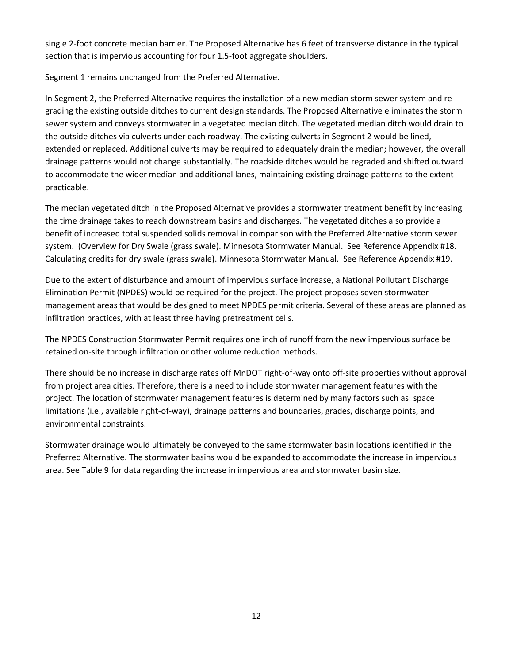single 2-foot concrete median barrier. The Proposed Alternative has 6 feet of transverse distance in the typical section that is impervious accounting for four 1.5-foot aggregate shoulders.

Segment 1 remains unchanged from the Preferred Alternative.

In Segment 2, the Preferred Alternative requires the installation of a new median storm sewer system and regrading the existing outside ditches to current design standards. The Proposed Alternative eliminates the storm sewer system and conveys stormwater in a vegetated median ditch. The vegetated median ditch would drain to the outside ditches via culverts under each roadway. The existing culverts in Segment 2 would be lined, extended or replaced. Additional culverts may be required to adequately drain the median; however, the overall drainage patterns would not change substantially. The roadside ditches would be regraded and shifted outward to accommodate the wider median and additional lanes, maintaining existing drainage patterns to the extent practicable.

The median vegetated ditch in the Proposed Alternative provides a stormwater treatment benefit by increasing the time drainage takes to reach downstream basins and discharges. The vegetated ditches also provide a benefit of increased total suspended solids removal in comparison with the Preferred Alternative storm sewer system. (Overview for Dry Swale (grass swale). Minnesota Stormwater Manual. See Reference Appendix #18. Calculating credits for dry swale (grass swale). Minnesota Stormwater Manual. See Reference Appendix #19.

Due to the extent of disturbance and amount of impervious surface increase, a National Pollutant Discharge Elimination Permit (NPDES) would be required for the project. The project proposes seven stormwater management areas that would be designed to meet NPDES permit criteria. Several of these areas are planned as infiltration practices, with at least three having pretreatment cells.

The NPDES Construction Stormwater Permit requires one inch of runoff from the new impervious surface be retained on-site through infiltration or other volume reduction methods.

There should be no increase in discharge rates off MnDOT right-of-way onto off-site properties without approval from project area cities. Therefore, there is a need to include stormwater management features with the project. The location of stormwater management features is determined by many factors such as: space limitations (i.e., available right-of-way), drainage patterns and boundaries, grades, discharge points, and environmental constraints.

Stormwater drainage would ultimately be conveyed to the same stormwater basin locations identified in the Preferred Alternative. The stormwater basins would be expanded to accommodate the increase in impervious area. See Table 9 for data regarding the increase in impervious area and stormwater basin size.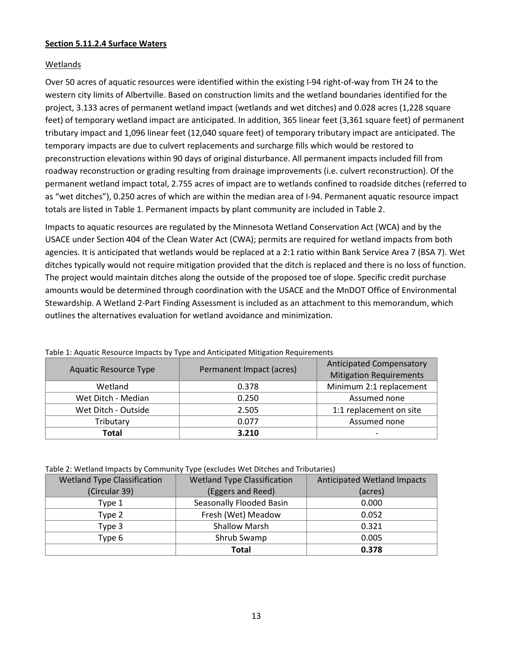#### **Section 5.11.2.4 Surface Waters**

## Wetlands

Over 50 acres of aquatic resources were identified within the existing I-94 right-of-way from TH 24 to the western city limits of Albertville. Based on construction limits and the wetland boundaries identified for the project, 3.133 acres of permanent wetland impact (wetlands and wet ditches) and 0.028 acres (1,228 square feet) of temporary wetland impact are anticipated. In addition, 365 linear feet (3,361 square feet) of permanent tributary impact and 1,096 linear feet (12,040 square feet) of temporary tributary impact are anticipated. The temporary impacts are due to culvert replacements and surcharge fills which would be restored to preconstruction elevations within 90 days of original disturbance. All permanent impacts included fill from roadway reconstruction or grading resulting from drainage improvements (i.e. culvert reconstruction). Of the permanent wetland impact total, 2.755 acres of impact are to wetlands confined to roadside ditches (referred to as "wet ditches"), 0.250 acres of which are within the median area of I-94. Permanent aquatic resource impact totals are listed i[n Table 1.](#page-12-0) Permanent impacts by plant community are included in [Table 2.](#page-12-1)

Impacts to aquatic resources are regulated by the Minnesota Wetland Conservation Act (WCA) and by the USACE under Section 404 of the Clean Water Act (CWA); permits are required for wetland impacts from both agencies. It is anticipated that wetlands would be replaced at a 2:1 ratio within Bank Service Area 7 (BSA 7). Wet ditches typically would not require mitigation provided that the ditch is replaced and there is no loss of function. The project would maintain ditches along the outside of the proposed toe of slope. Specific credit purchase amounts would be determined through coordination with the USACE and the MnDOT Office of Environmental Stewardship. A Wetland 2-Part Finding Assessment is included as an attachment to this memorandum, which outlines the alternatives evaluation for wetland avoidance and minimization.

| <b>Aquatic Resource Type</b> | Permanent Impact (acres) | <b>Anticipated Compensatory</b><br><b>Mitigation Requirements</b> |  |
|------------------------------|--------------------------|-------------------------------------------------------------------|--|
| Wetland                      | 0.378                    | Minimum 2:1 replacement                                           |  |
| Wet Ditch - Median           | 0.250                    | Assumed none                                                      |  |
| Wet Ditch - Outside          | 2.505                    | 1:1 replacement on site                                           |  |
| Tributary                    | 0.077                    | Assumed none                                                      |  |
| Total                        | 3.210                    | $\overline{\phantom{0}}$                                          |  |

<span id="page-12-0"></span>Table 1: Aquatic Resource Impacts by Type and Anticipated Mitigation Requirements

#### <span id="page-12-1"></span>Table 2: Wetland Impacts by Community Type (excludes Wet Ditches and Tributaries)

| <b>Wetland Type Classification</b> | <b>Wetland Type Classification</b> | <b>Anticipated Wetland Impacts</b> |
|------------------------------------|------------------------------------|------------------------------------|
| (Circular 39)                      | (Eggers and Reed)                  | (acres)                            |
| Type 1                             | Seasonally Flooded Basin           | 0.000                              |
| Type 2                             | Fresh (Wet) Meadow                 | 0.052                              |
| Type 3                             | <b>Shallow Marsh</b>               | 0.321                              |
| Type 6                             | Shrub Swamp                        | 0.005                              |
|                                    | <b>Total</b>                       | 0.378                              |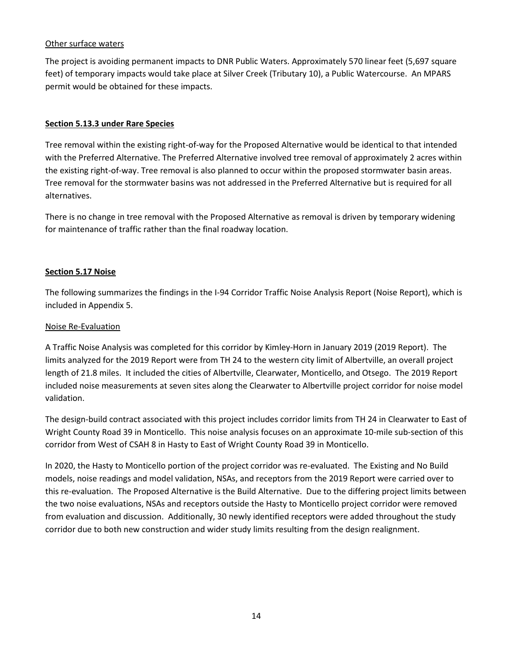## Other surface waters

The project is avoiding permanent impacts to DNR Public Waters. Approximately 570 linear feet (5,697 square feet) of temporary impacts would take place at Silver Creek (Tributary 10), a Public Watercourse. An MPARS permit would be obtained for these impacts.

#### **Section 5.13.3 under Rare Species**

Tree removal within the existing right-of-way for the Proposed Alternative would be identical to that intended with the Preferred Alternative. The Preferred Alternative involved tree removal of approximately 2 acres within the existing right-of-way. Tree removal is also planned to occur within the proposed stormwater basin areas. Tree removal for the stormwater basins was not addressed in the Preferred Alternative but is required for all alternatives.

There is no change in tree removal with the Proposed Alternative as removal is driven by temporary widening for maintenance of traffic rather than the final roadway location.

#### **Section 5.17 Noise**

The following summarizes the findings in the I-94 Corridor Traffic Noise Analysis Report (Noise Report), which is included in Appendix 5.

## Noise Re-Evaluation

A Traffic Noise Analysis was completed for this corridor by Kimley-Horn in January 2019 (2019 Report). The limits analyzed for the 2019 Report were from TH 24 to the western city limit of Albertville, an overall project length of 21.8 miles. It included the cities of Albertville, Clearwater, Monticello, and Otsego. The 2019 Report included noise measurements at seven sites along the Clearwater to Albertville project corridor for noise model validation.

The design-build contract associated with this project includes corridor limits from TH 24 in Clearwater to East of Wright County Road 39 in Monticello. This noise analysis focuses on an approximate 10-mile sub-section of this corridor from West of CSAH 8 in Hasty to East of Wright County Road 39 in Monticello.

In 2020, the Hasty to Monticello portion of the project corridor was re-evaluated. The Existing and No Build models, noise readings and model validation, NSAs, and receptors from the 2019 Report were carried over to this re-evaluation. The Proposed Alternative is the Build Alternative. Due to the differing project limits between the two noise evaluations, NSAs and receptors outside the Hasty to Monticello project corridor were removed from evaluation and discussion. Additionally, 30 newly identified receptors were added throughout the study corridor due to both new construction and wider study limits resulting from the design realignment.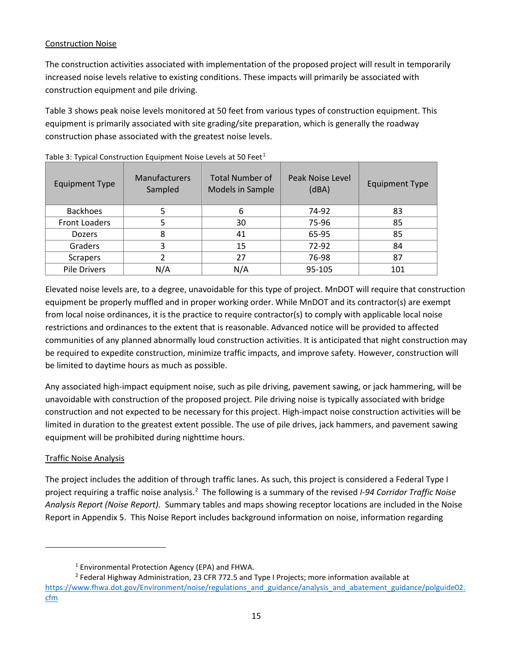# Construction Noise

The construction activities associated with implementation of the proposed project will result in temporarily increased noise levels relative to existing conditions. These impacts will primarily be associated with construction equipment and pile driving.

[Table 3](#page-14-0) shows peak noise levels monitored at 50 feet from various types of construction equipment. This equipment is primarily associated with site grading/site preparation, which is generally the roadway construction phase associated with the greatest noise levels.

| <b>Equipment Type</b> | <b>Manufacturers</b><br>Sampled | <b>Total Number of</b><br>Models in Sample | Peak Noise Level<br>(dBA) | <b>Equipment Type</b> |
|-----------------------|---------------------------------|--------------------------------------------|---------------------------|-----------------------|
| <b>Backhoes</b>       |                                 |                                            | 74-92                     | 83                    |
| <b>Front Loaders</b>  |                                 | 30                                         | 75-96                     | 85                    |
| <b>Dozers</b>         | 8                               | 41                                         | 65-95                     | 85                    |
| Graders               | 3                               | 15                                         | 72-92                     | 84                    |
| <b>Scrapers</b>       | 2                               | 27                                         | 76-98                     | 87                    |
| Pile Drivers          | N/A                             | N/A                                        | 95-105                    | 101                   |

<span id="page-14-0"></span>Table 3: Typical Construction Equipment Noise Levels at 50 Feet<sup>[1](#page-14-1)</sup>

Elevated noise levels are, to a degree, unavoidable for this type of project. MnDOT will require that construction equipment be properly muffled and in proper working order. While MnDOT and its contractor(s) are exempt from local noise ordinances, it is the practice to require contractor(s) to comply with applicable local noise restrictions and ordinances to the extent that is reasonable. Advanced notice will be provided to affected communities of any planned abnormally loud construction activities. It is anticipated that night construction may be required to expedite construction, minimize traffic impacts, and improve safety. However, construction will be limited to daytime hours as much as possible.

Any associated high-impact equipment noise, such as pile driving, pavement sawing, or jack hammering, will be unavoidable with construction of the proposed project. Pile driving noise is typically associated with bridge construction and not expected to be necessary for this project. High-impact noise construction activities will be limited in duration to the greatest extent possible. The use of pile drives, jack hammers, and pavement sawing equipment will be prohibited during nighttime hours.

# Traffic Noise Analysis

The project includes the addition of through traffic lanes. As such, this project is considered a Federal Type I project requiring a traffic noise analysis.[2](#page-14-2) The following is a summary of the revised *I-94 Corridor Traffic Noise Analysis Report (Noise Report).* Summary tables and maps showing receptor locations are included in the Noise Report in Appendix 5. This Noise Report includes background information on noise, information regarding

<sup>1</sup> Environmental Protection Agency (EPA) and FHWA.

<span id="page-14-2"></span><span id="page-14-1"></span><sup>2</sup> Federal Highway Administration, 23 CFR 772.5 and Type I Projects; more information available at [https://www.fhwa.dot.gov/Environment/noise/regulations\\_and\\_guidance/analysis\\_and\\_abatement\\_guidance/polguide02.](https://www.fhwa.dot.gov/Environment/noise/regulations_and_guidance/analysis_and_abatement_guidance/polguide02.cfm) [cfm](https://www.fhwa.dot.gov/Environment/noise/regulations_and_guidance/analysis_and_abatement_guidance/polguide02.cfm)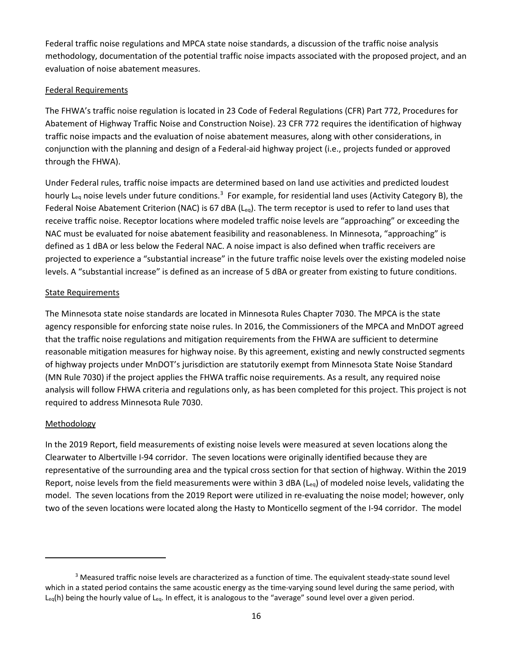Federal traffic noise regulations and MPCA state noise standards, a discussion of the traffic noise analysis methodology, documentation of the potential traffic noise impacts associated with the proposed project, and an evaluation of noise abatement measures.

#### Federal Requirements

The FHWA's traffic noise regulation is located in 23 Code of Federal Regulations (CFR) Part 772, Procedures for Abatement of Highway Traffic Noise and Construction Noise). 23 CFR 772 requires the identification of highway traffic noise impacts and the evaluation of noise abatement measures, along with other considerations, in conjunction with the planning and design of a Federal-aid highway project (i.e., projects funded or approved through the FHWA).

Under Federal rules, traffic noise impacts are determined based on land use activities and predicted loudest hourly L<sub>eq</sub> noise levels under future conditions.<sup>[3](#page-15-0)</sup> For example, for residential land uses (Activity Category B), the Federal Noise Abatement Criterion (NAC) is 67 dBA (Leq). The term receptor is used to refer to land uses that receive traffic noise. Receptor locations where modeled traffic noise levels are "approaching" or exceeding the NAC must be evaluated for noise abatement feasibility and reasonableness. In Minnesota, "approaching" is defined as 1 dBA or less below the Federal NAC. A noise impact is also defined when traffic receivers are projected to experience a "substantial increase" in the future traffic noise levels over the existing modeled noise levels. A "substantial increase" is defined as an increase of 5 dBA or greater from existing to future conditions.

#### State Requirements

The Minnesota state noise standards are located in Minnesota Rules Chapter 7030. The MPCA is the state agency responsible for enforcing state noise rules. In 2016, the Commissioners of the MPCA and MnDOT agreed that the traffic noise regulations and mitigation requirements from the FHWA are sufficient to determine reasonable mitigation measures for highway noise. By this agreement, existing and newly constructed segments of highway projects under MnDOT's jurisdiction are statutorily exempt from Minnesota State Noise Standard (MN Rule 7030) if the project applies the FHWA traffic noise requirements. As a result, any required noise analysis will follow FHWA criteria and regulations only, as has been completed for this project. This project is not required to address Minnesota Rule 7030.

#### **Methodology**

In the 2019 Report, field measurements of existing noise levels were measured at seven locations along the Clearwater to Albertville I-94 corridor. The seven locations were originally identified because they are representative of the surrounding area and the typical cross section for that section of highway. Within the 2019 Report, noise levels from the field measurements were within 3 dBA (Leq) of modeled noise levels, validating the model. The seven locations from the 2019 Report were utilized in re-evaluating the noise model; however, only two of the seven locations were located along the Hasty to Monticello segment of the I-94 corridor. The model

<span id="page-15-0"></span><sup>&</sup>lt;sup>3</sup> Measured traffic noise levels are characterized as a function of time. The equivalent steady-state sound level which in a stated period contains the same acoustic energy as the time-varying sound level during the same period, with  $L_{eq}(h)$  being the hourly value of  $L_{eq}$ . In effect, it is analogous to the "average" sound level over a given period.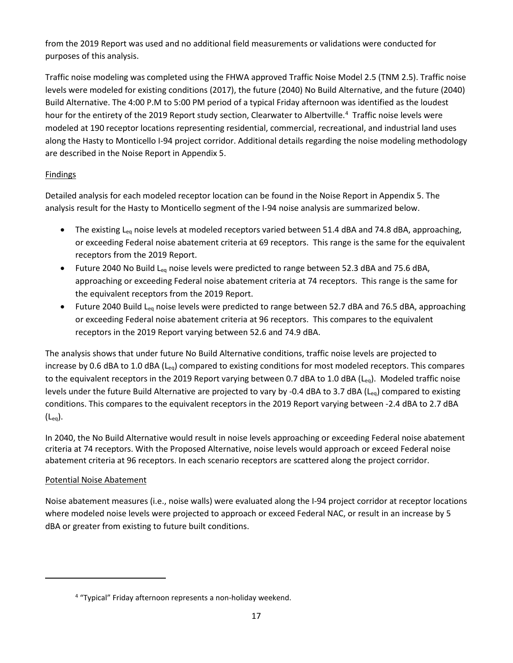from the 2019 Report was used and no additional field measurements or validations were conducted for purposes of this analysis.

Traffic noise modeling was completed using the FHWA approved Traffic Noise Model 2.5 (TNM 2.5). Traffic noise levels were modeled for existing conditions (2017), the future (2040) No Build Alternative, and the future (2040) Build Alternative. The 4:00 P.M to 5:00 PM period of a typical Friday afternoon was identified as the loudest hour for the entirety of the 2019 Report study section, Clearwater to Albertville.<sup>[4](#page-16-0)</sup> Traffic noise levels were modeled at 190 receptor locations representing residential, commercial, recreational, and industrial land uses along the Hasty to Monticello I-94 project corridor. Additional details regarding the noise modeling methodology are described in the Noise Report in Appendix 5.

# **Findings**

Detailed analysis for each modeled receptor location can be found in the Noise Report in Appendix 5. The analysis result for the Hasty to Monticello segment of the I-94 noise analysis are summarized below.

- The existing L<sub>eq</sub> noise levels at modeled receptors varied between 51.4 dBA and 74.8 dBA, approaching, or exceeding Federal noise abatement criteria at 69 receptors. This range is the same for the equivalent receptors from the 2019 Report.
- Future 2040 No Build L<sub>eq</sub> noise levels were predicted to range between 52.3 dBA and 75.6 dBA, approaching or exceeding Federal noise abatement criteria at 74 receptors. This range is the same for the equivalent receptors from the 2019 Report.
- Future 2040 Build L<sub>eg</sub> noise levels were predicted to range between 52.7 dBA and 76.5 dBA, approaching or exceeding Federal noise abatement criteria at 96 receptors. This compares to the equivalent receptors in the 2019 Report varying between 52.6 and 74.9 dBA.

The analysis shows that under future No Build Alternative conditions, traffic noise levels are projected to increase by 0.6 dBA to 1.0 dBA ( $L_{eq}$ ) compared to existing conditions for most modeled receptors. This compares to the equivalent receptors in the 2019 Report varying between 0.7 dBA to 1.0 dBA (L<sub>eq</sub>). Modeled traffic noise levels under the future Build Alternative are projected to vary by -0.4 dBA to 3.7 dBA (Leq) compared to existing conditions. This compares to the equivalent receptors in the 2019 Report varying between -2.4 dBA to 2.7 dBA  $(L_{ea})$ .

In 2040, the No Build Alternative would result in noise levels approaching or exceeding Federal noise abatement criteria at 74 receptors. With the Proposed Alternative, noise levels would approach or exceed Federal noise abatement criteria at 96 receptors. In each scenario receptors are scattered along the project corridor.

# Potential Noise Abatement

Noise abatement measures (i.e., noise walls) were evaluated along the I-94 project corridor at receptor locations where modeled noise levels were projected to approach or exceed Federal NAC, or result in an increase by 5 dBA or greater from existing to future built conditions.

<span id="page-16-0"></span><sup>&</sup>lt;sup>4</sup> "Typical" Friday afternoon represents a non-holiday weekend.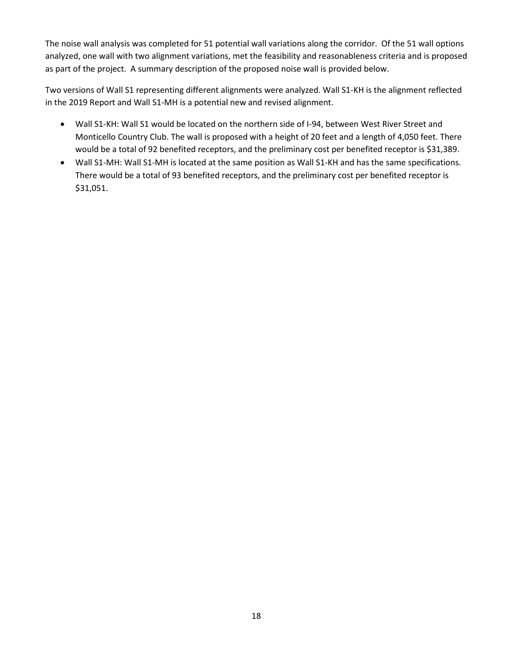The noise wall analysis was completed for 51 potential wall variations along the corridor. Of the 51 wall options analyzed, one wall with two alignment variations, met the feasibility and reasonableness criteria and is proposed as part of the project. A summary description of the proposed noise wall is provided below.

Two versions of Wall S1 representing different alignments were analyzed. Wall S1-KH is the alignment reflected in the 2019 Report and Wall S1-MH is a potential new and revised alignment.

- Wall S1-KH: Wall S1 would be located on the northern side of I-94, between West River Street and Monticello Country Club. The wall is proposed with a height of 20 feet and a length of 4,050 feet. There would be a total of 92 benefited receptors, and the preliminary cost per benefited receptor is \$31,389.
- Wall S1-MH: Wall S1-MH is located at the same position as Wall S1-KH and has the same specifications. There would be a total of 93 benefited receptors, and the preliminary cost per benefited receptor is \$31,051.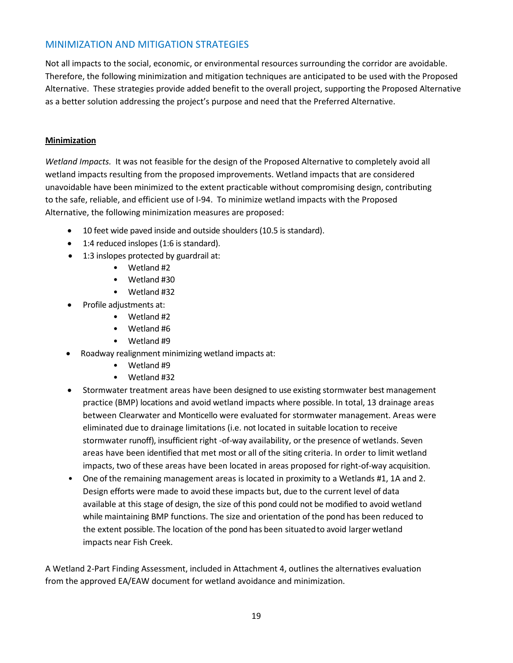# MINIMIZATION AND MITIGATION STRATEGIES

Not all impacts to the social, economic, or environmental resources surrounding the corridor are avoidable. Therefore, the following minimization and mitigation techniques are anticipated to be used with the Proposed Alternative. These strategies provide added benefit to the overall project, supporting the Proposed Alternative as a better solution addressing the project's purpose and need that the Preferred Alternative.

## **Minimization**

*Wetland Impacts.* It was not feasible for the design of the Proposed Alternative to completely avoid all wetland impacts resulting from the proposed improvements. Wetland impacts that are considered unavoidable have been minimized to the extent practicable without compromising design, contributing to the safe, reliable, and efficient use of I-94. To minimize wetland impacts with the Proposed Alternative, the following minimization measures are proposed:

- 10 feet wide paved inside and outside shoulders (10.5 is standard).
- 1:4 reduced inslopes (1:6 is standard).
- 1:3 inslopes protected by guardrail at:
	- Wetland #2
	- Wetland #30
	- Wetland #32
	- Profile adjustments at:
		- Wetland #2
		- Wetland #6
		- Wetland #9
- Roadway realignment minimizing wetland impacts at:
	- Wetland #9
	- Wetland #32
- Stormwater treatment areas have been designed to use existing stormwater best management practice (BMP) locations and avoid wetland impacts where possible. In total, 13 drainage areas between Clearwater and Monticello were evaluated for stormwater management. Areas were eliminated due to drainage limitations (i.e. not located in suitable location to receive stormwater runoff), insufficient right -of-way availability, or the presence of wetlands. Seven areas have been identified that met most or all of the siting criteria. In order to limit wetland impacts, two of these areas have been located in areas proposed for right-of-way acquisition.
- One of the remaining management areas is located in proximity to a Wetlands #1, 1A and 2. Design efforts were made to avoid these impacts but, due to the current level of data available at this stage of design, the size of this pond could not be modified to avoid wetland while maintaining BMP functions. The size and orientation of the pond has been reduced to the extent possible. The location of the pond has been situatedto avoid larger wetland impacts near Fish Creek.

A Wetland 2-Part Finding Assessment, included in Attachment 4, outlines the alternatives evaluation from the approved EA/EAW document for wetland avoidance and minimization.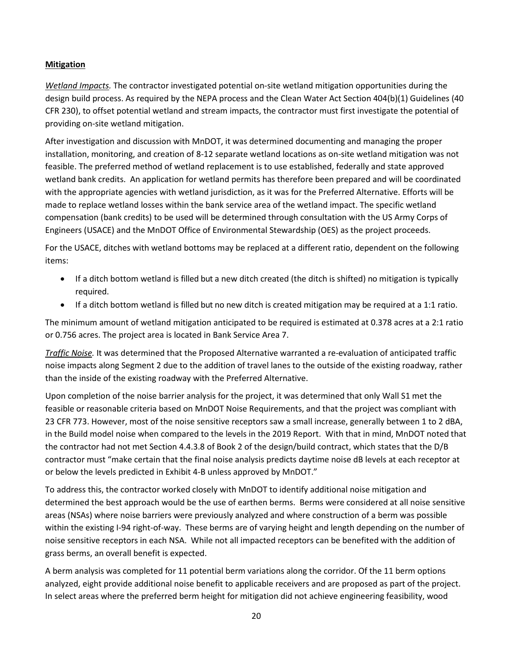# **Mitigation**

*Wetland Impacts.* The contractor investigated potential on-site wetland mitigation opportunities during the design build process. As required by the NEPA process and the Clean Water Act Section 404(b)(1) Guidelines (40 CFR 230), to offset potential wetland and stream impacts, the contractor must first investigate the potential of providing on-site wetland mitigation.

After investigation and discussion with MnDOT, it was determined documenting and managing the proper installation, monitoring, and creation of 8-12 separate wetland locations as on-site wetland mitigation was not feasible. The preferred method of wetland replacement is to use established, federally and state approved wetland bank credits. An application for wetland permits has therefore been prepared and will be coordinated with the appropriate agencies with wetland jurisdiction, as it was for the Preferred Alternative. Efforts will be made to replace wetland losses within the bank service area of the wetland impact. The specific wetland compensation (bank credits) to be used will be determined through consultation with the US Army Corps of Engineers (USACE) and the MnDOT Office of Environmental Stewardship (OES) as the project proceeds.

For the USACE, ditches with wetland bottoms may be replaced at a different ratio, dependent on the following items:

- If a ditch bottom wetland is filled but a new ditch created (the ditch is shifted) no mitigation is typically required.
- If a ditch bottom wetland is filled but no new ditch is created mitigation may be required at a 1:1 ratio.

The minimum amount of wetland mitigation anticipated to be required is estimated at 0.378 acres at a 2:1 ratio or 0.756 acres. The project area is located in Bank Service Area 7.

*Traffic Noise.* It was determined that the Proposed Alternative warranted a re-evaluation of anticipated traffic noise impacts along Segment 2 due to the addition of travel lanes to the outside of the existing roadway, rather than the inside of the existing roadway with the Preferred Alternative.

Upon completion of the noise barrier analysis for the project, it was determined that only Wall S1 met the feasible or reasonable criteria based on MnDOT Noise Requirements, and that the project was compliant with 23 CFR 773. However, most of the noise sensitive receptors saw a small increase, generally between 1 to 2 dBA, in the Build model noise when compared to the levels in the 2019 Report. With that in mind, MnDOT noted that the contractor had not met Section 4.4.3.8 of Book 2 of the design/build contract, which states that the D/B contractor must "make certain that the final noise analysis predicts daytime noise dB levels at each receptor at or below the levels predicted in Exhibit 4-B unless approved by MnDOT."

To address this, the contractor worked closely with MnDOT to identify additional noise mitigation and determined the best approach would be the use of earthen berms. Berms were considered at all noise sensitive areas (NSAs) where noise barriers were previously analyzed and where construction of a berm was possible within the existing I-94 right-of-way. These berms are of varying height and length depending on the number of noise sensitive receptors in each NSA. While not all impacted receptors can be benefited with the addition of grass berms, an overall benefit is expected.

A berm analysis was completed for 11 potential berm variations along the corridor. Of the 11 berm options analyzed, eight provide additional noise benefit to applicable receivers and are proposed as part of the project. In select areas where the preferred berm height for mitigation did not achieve engineering feasibility, wood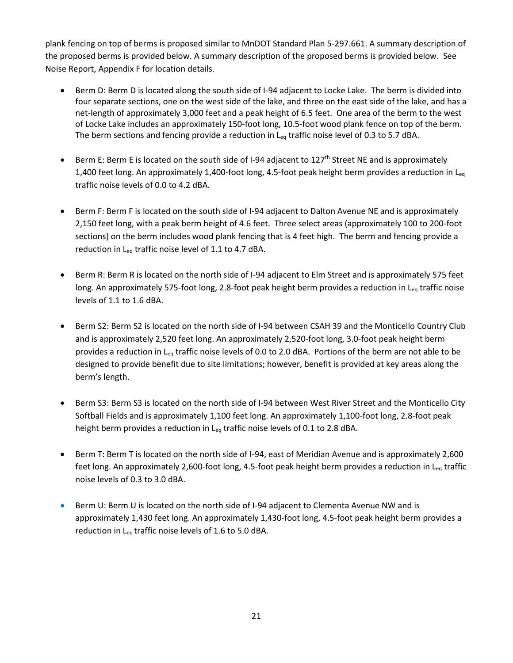plank fencing on top of berms is proposed similar to MnDOT Standard Plan 5-297.661. A summary description of the proposed berms is provided below. A summary description of the proposed berms is provided below. See Noise Report, Appendix F for location details.

- Berm D: Berm D is located along the south side of I-94 adjacent to Locke Lake. The berm is divided into four separate sections, one on the west side of the lake, and three on the east side of the lake, and has a net-length of approximately 3,000 feet and a peak height of 6.5 feet. One area of the berm to the west of Locke Lake includes an approximately 150-foot long, 10.5-foot wood plank fence on top of the berm. The berm sections and fencing provide a reduction in  $L_{eq}$  traffic noise level of 0.3 to 5.7 dBA.
- Berm E: Berm E is located on the south side of I-94 adjacent to  $127<sup>th</sup>$  Street NE and is approximately 1,400 feet long. An approximately 1,400-foot long, 4.5-foot peak height berm provides a reduction in L<sub>eq</sub> traffic noise levels of 0.0 to 4.2 dBA.
- Berm F: Berm F is located on the south side of I-94 adjacent to Dalton Avenue NE and is approximately 2,150 feet long, with a peak berm height of 4.6 feet. Three select areas (approximately 100 to 200-foot sections) on the berm includes wood plank fencing that is 4 feet high. The berm and fencing provide a reduction in L<sub>eq</sub> traffic noise level of 1.1 to 4.7 dBA.
- Berm R: Berm R is located on the north side of I-94 adjacent to Elm Street and is approximately 575 feet long. An approximately 575-foot long, 2.8-foot peak height berm provides a reduction in L<sub>eq</sub> traffic noise levels of 1.1 to 1.6 dBA.
- Berm S2: Berm S2 is located on the north side of I-94 between CSAH 39 and the Monticello Country Club and is approximately 2,520 feet long. An approximately 2,520-foot long, 3.0-foot peak height berm provides a reduction in L<sub>eq</sub> traffic noise levels of 0.0 to 2.0 dBA. Portions of the berm are not able to be designed to provide benefit due to site limitations; however, benefit is provided at key areas along the berm's length.
- Berm S3: Berm S3 is located on the north side of I-94 between West River Street and the Monticello City Softball Fields and is approximately 1,100 feet long. An approximately 1,100-foot long, 2.8-foot peak height berm provides a reduction in  $L_{eq}$  traffic noise levels of 0.1 to 2.8 dBA.
- Berm T: Berm T is located on the north side of I-94, east of Meridian Avenue and is approximately 2,600 feet long. An approximately 2,600-foot long, 4.5-foot peak height berm provides a reduction in L<sub>eq</sub> traffic noise levels of 0.3 to 3.0 dBA.
- Berm U: Berm U is located on the north side of I-94 adjacent to Clementa Avenue NW and is approximately 1,430 feet long. An approximately 1,430-foot long, 4.5-foot peak height berm provides a reduction in  $L_{eq}$  traffic noise levels of 1.6 to 5.0 dBA.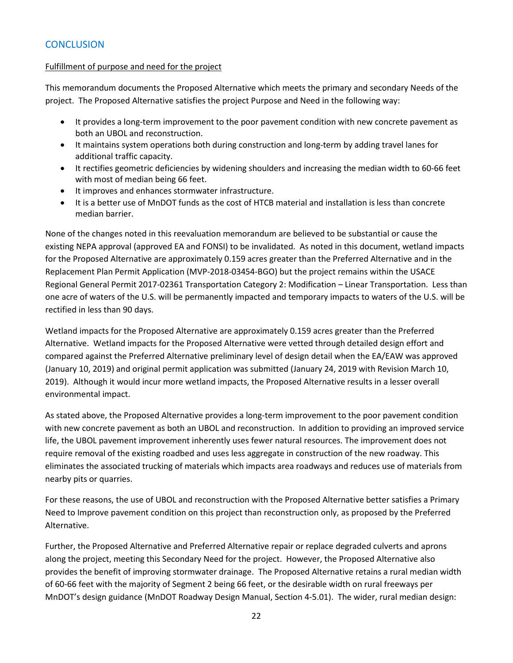# **CONCLUSION**

#### Fulfillment of purpose and need for the project

This memorandum documents the Proposed Alternative which meets the primary and secondary Needs of the project. The Proposed Alternative satisfies the project Purpose and Need in the following way:

- It provides a long-term improvement to the poor pavement condition with new concrete pavement as both an UBOL and reconstruction.
- It maintains system operations both during construction and long-term by adding travel lanes for additional traffic capacity.
- It rectifies geometric deficiencies by widening shoulders and increasing the median width to 60-66 feet with most of median being 66 feet.
- It improves and enhances stormwater infrastructure.
- It is a better use of MnDOT funds as the cost of HTCB material and installation is less than concrete median barrier.

None of the changes noted in this reevaluation memorandum are believed to be substantial or cause the existing NEPA approval (approved EA and FONSI) to be invalidated. As noted in this document, wetland impacts for the Proposed Alternative are approximately 0.159 acres greater than the Preferred Alternative and in the Replacement Plan Permit Application (MVP-2018-03454-BGO) but the project remains within the USACE Regional General Permit 2017-02361 Transportation Category 2: Modification – Linear Transportation. Less than one acre of waters of the U.S. will be permanently impacted and temporary impacts to waters of the U.S. will be rectified in less than 90 days.

Wetland impacts for the Proposed Alternative are approximately 0.159 acres greater than the Preferred Alternative. Wetland impacts for the Proposed Alternative were vetted through detailed design effort and compared against the Preferred Alternative preliminary level of design detail when the EA/EAW was approved (January 10, 2019) and original permit application was submitted (January 24, 2019 with Revision March 10, 2019). Although it would incur more wetland impacts, the Proposed Alternative results in a lesser overall environmental impact.

As stated above, the Proposed Alternative provides a long-term improvement to the poor pavement condition with new concrete pavement as both an UBOL and reconstruction. In addition to providing an improved service life, the UBOL pavement improvement inherently uses fewer natural resources. The improvement does not require removal of the existing roadbed and uses less aggregate in construction of the new roadway. This eliminates the associated trucking of materials which impacts area roadways and reduces use of materials from nearby pits or quarries.

For these reasons, the use of UBOL and reconstruction with the Proposed Alternative better satisfies a Primary Need to Improve pavement condition on this project than reconstruction only, as proposed by the Preferred Alternative.

Further, the Proposed Alternative and Preferred Alternative repair or replace degraded culverts and aprons along the project, meeting this Secondary Need for the project. However, the Proposed Alternative also provides the benefit of improving stormwater drainage. The Proposed Alternative retains a rural median width of 60-66 feet with the majority of Segment 2 being 66 feet, or the desirable width on rural freeways per MnDOT's design guidance (MnDOT Roadway Design Manual, Section 4-5.01). The wider, rural median design: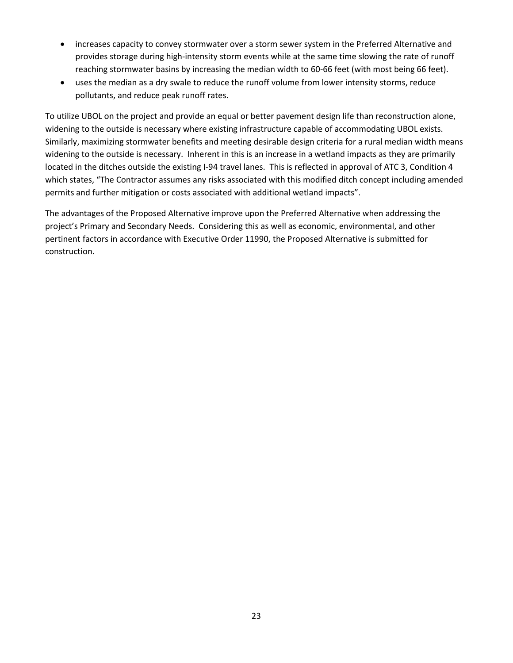- increases capacity to convey stormwater over a storm sewer system in the Preferred Alternative and provides storage during high-intensity storm events while at the same time slowing the rate of runoff reaching stormwater basins by increasing the median width to 60-66 feet (with most being 66 feet).
- uses the median as a dry swale to reduce the runoff volume from lower intensity storms, reduce pollutants, and reduce peak runoff rates.

To utilize UBOL on the project and provide an equal or better pavement design life than reconstruction alone, widening to the outside is necessary where existing infrastructure capable of accommodating UBOL exists. Similarly, maximizing stormwater benefits and meeting desirable design criteria for a rural median width means widening to the outside is necessary. Inherent in this is an increase in a wetland impacts as they are primarily located in the ditches outside the existing I-94 travel lanes. This is reflected in approval of ATC 3, Condition 4 which states, "The Contractor assumes any risks associated with this modified ditch concept including amended permits and further mitigation or costs associated with additional wetland impacts".

The advantages of the Proposed Alternative improve upon the Preferred Alternative when addressing the project's Primary and Secondary Needs. Considering this as well as economic, environmental, and other pertinent factors in accordance with Executive Order 11990, the Proposed Alternative is submitted for construction.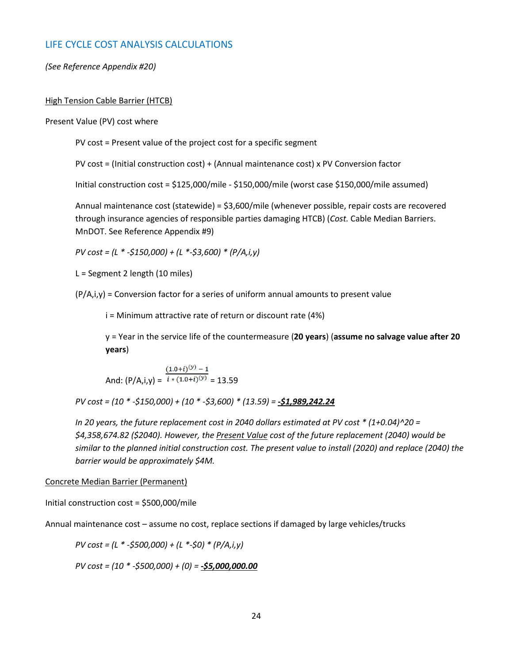# LIFE CYCLE COST ANALYSIS CALCULATIONS

#### *(See Reference Appendix #20)*

#### High Tension Cable Barrier (HTCB)

#### Present Value (PV) cost where

PV cost = Present value of the project cost for a specific segment

PV cost = (Initial construction cost) + (Annual maintenance cost) x PV Conversion factor

Initial construction cost = \$125,000/mile - \$150,000/mile (worst case \$150,000/mile assumed)

Annual maintenance cost (statewide) = \$3,600/mile (whenever possible, repair costs are recovered through insurance agencies of responsible parties damaging HTCB) (*Cost.* Cable Median Barriers. MnDOT. See Reference Appendix #9)

*PV cost = (L \* -\$150,000) + (L \*-\$3,600) \* (P/A,i,y)* 

L = Segment 2 length (10 miles)

 $(P/A,i,y)$  = Conversion factor for a series of uniform annual amounts to present value

i = Minimum attractive rate of return or discount rate (4%)

y = Year in the service life of the countermeasure (**20 years**) (**assume no salvage value after 20 years**)

And: 
$$
(P/A,i,y) = \frac{(1.0+i)^{(y)} - 1}{i * (1.0+i)^{(y)}} = 13.59
$$

*PV cost = (10 \* -\$150,000) + (10 \* -\$3,600) \* (13.59) = -\$1,989,242.24*

*In 20 years, the future replacement cost in 2040 dollars estimated at PV cost \* (1+0.04)^20 = \$4,358,674.82 (\$2040). However, the Present Value cost of the future replacement (2040) would be similar to the planned initial construction cost. The present value to install (2020) and replace (2040) the barrier would be approximately \$4M.* 

Concrete Median Barrier (Permanent)

Initial construction cost = \$500,000/mile

Annual maintenance cost – assume no cost, replace sections if damaged by large vehicles/trucks

*PV cost = (L \* -\$500,000) + (L \*-\$0) \* (P/A,i,y)* 

*PV cost = (10 \* -\$500,000) + (0) = -\$5,000,000.00*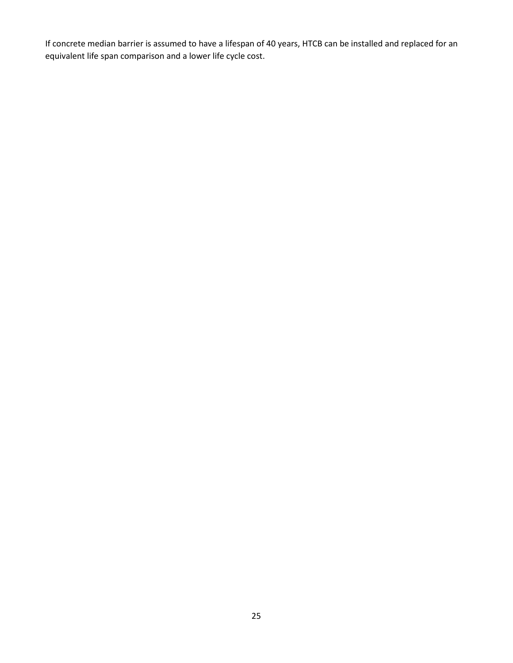If concrete median barrier is assumed to have a lifespan of 40 years, HTCB can be installed and replaced for an equivalent life span comparison and a lower life cycle cost.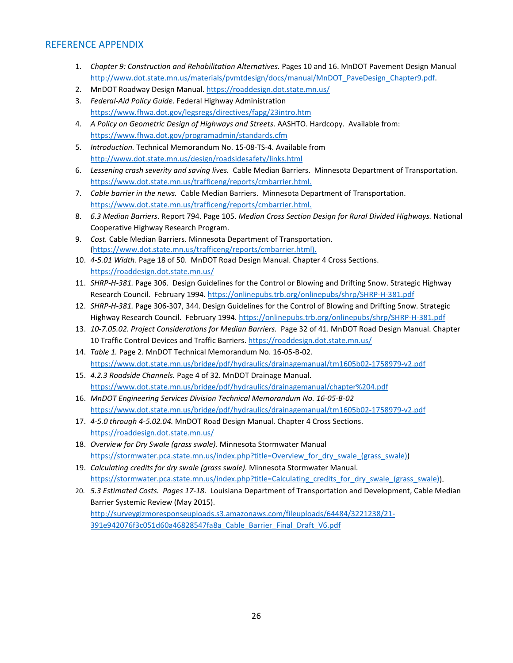# REFERENCE APPENDIX

- 1. *Chapter 9: Construction and Rehabilitation Alternatives.* Pages 10 and 16. MnDOT Pavement Design Manual [http://www.dot.state.mn.us/materials/pvmtdesign/docs/manual/MnDOT\\_PaveDesign\\_Chapter9.pdf.](http://www.dot.state.mn.us/materials/pvmtdesign/docs/manual/MnDOT_PaveDesign_Chapter9.pdf)
- 2. MnDOT Roadway Design Manual[. https://roaddesign.dot.state.mn.us/](https://roaddesign.dot.state.mn.us/)
- 3. *Federal-Aid Policy Guide*. Federal Highway Administration <https://www.fhwa.dot.gov/legsregs/directives/fapg/23intro.htm>
- 4. *A Policy on Geometric Design of Highways and Streets*. AASHTO. Hardcopy. Available from: <https://www.fhwa.dot.gov/programadmin/standards.cfm>
- 5. *Introduction.* Technical Memorandum No. 15-08-TS-4. Available from <http://www.dot.state.mn.us/design/roadsidesafety/links.html>
- 6. *Lessening crash severity and saving lives.* Cable Median Barriers. Minnesota Department of Transportation. [https://www.dot.state.mn.us/trafficeng/reports/cmbarrier.html.](https://www.dot.state.mn.us/trafficeng/reports/cmbarrier.html)
- 7. *Cable barrier in the news.* Cable Median Barriers. Minnesota Department of Transportation. [https://www.dot.state.mn.us/trafficeng/reports/cmbarrier.html.](https://www.dot.state.mn.us/trafficeng/reports/cmbarrier.html)
- 8. *6.3 Median Barriers*. Report 794. Page 105. *Median Cross Section Design for Rural Divided Highways.* National Cooperative Highway Research Program.
- 9. *Cost.* Cable Median Barriers. Minnesota Department of Transportation. [\(https://www.dot.state.mn.us/trafficeng/reports/cmbarrier.html\)](https://www.dot.state.mn.us/trafficeng/reports/cmbarrier.html).
- 10. *4-5.01 Width*. Page 18 of 50. MnDOT Road Design Manual. Chapter 4 Cross Sections. <https://roaddesign.dot.state.mn.us/>
- 11. *SHRP-H-381.* Page 306. Design Guidelines for the Control or Blowing and Drifting Snow. Strategic Highway Research Council. February 1994.<https://onlinepubs.trb.org/onlinepubs/shrp/SHRP-H-381.pdf>
- 12. *SHRP-H-381.* Page 306-307, 344. Design Guidelines for the Control of Blowing and Drifting Snow. Strategic Highway Research Council. February 1994.<https://onlinepubs.trb.org/onlinepubs/shrp/SHRP-H-381.pdf>
- 13. *10-7.05.02. Project Considerations for Median Barriers.* Page 32 of 41. MnDOT Road Design Manual. Chapter 10 Traffic Control Devices and Traffic Barriers[. https://roaddesign.dot.state.mn.us/](https://roaddesign.dot.state.mn.us/)
- 14. *Table 1.* Page 2. MnDOT Technical Memorandum No. 16-05-B-02. <https://www.dot.state.mn.us/bridge/pdf/hydraulics/drainagemanual/tm1605b02-1758979-v2.pdf>
- 15. *4.2.3 Roadside Channels.* Page 4 of 32. MnDOT Drainage Manual. <https://www.dot.state.mn.us/bridge/pdf/hydraulics/drainagemanual/chapter%204.pdf>
- 16. *MnDOT Engineering Services Division Technical Memorandum No. 16-05-B-02* <https://www.dot.state.mn.us/bridge/pdf/hydraulics/drainagemanual/tm1605b02-1758979-v2.pdf>
- 17. *4-5.0 through 4-5.02.04.* MnDOT Road Design Manual. Chapter 4 Cross Sections. <https://roaddesign.dot.state.mn.us/>
- 18. *Overview for Dry Swale (grass swale).* Minnesota Stormwater Manual [https://stormwater.pca.state.mn.us/index.php?title=Overview\\_for\\_dry\\_swale\\_\(grass\\_swale\)\)](https://stormwater.pca.state.mn.us/index.php?title=Overview_for_dry_swale_(grass_swale))
- 19. *Calculating credits for dry swale (grass swale).* Minnesota Stormwater Manual. [https://stormwater.pca.state.mn.us/index.php?title=Calculating\\_credits\\_for\\_dry\\_swale\\_\(grass\\_swale\)\)](https://stormwater.pca.state.mn.us/index.php?title=Calculating_credits_for_dry_swale_(grass_swale)).
- 20. *5.3 Estimated Costs. Pages 17-18.* Louisiana Department of Transportation and Development, Cable Median Barrier Systemic Review (May 2015). [http://surveygizmoresponseuploads.s3.amazonaws.com/fileuploads/64484/3221238/21-](http://surveygizmoresponseuploads.s3.amazonaws.com/fileuploads/64484/3221238/21-391e942076f3c051d60a46828547fa8a_Cable_Barrier_Final_Draft_V6.pdf) [391e942076f3c051d60a46828547fa8a\\_Cable\\_Barrier\\_Final\\_Draft\\_V6.pdf](http://surveygizmoresponseuploads.s3.amazonaws.com/fileuploads/64484/3221238/21-391e942076f3c051d60a46828547fa8a_Cable_Barrier_Final_Draft_V6.pdf)